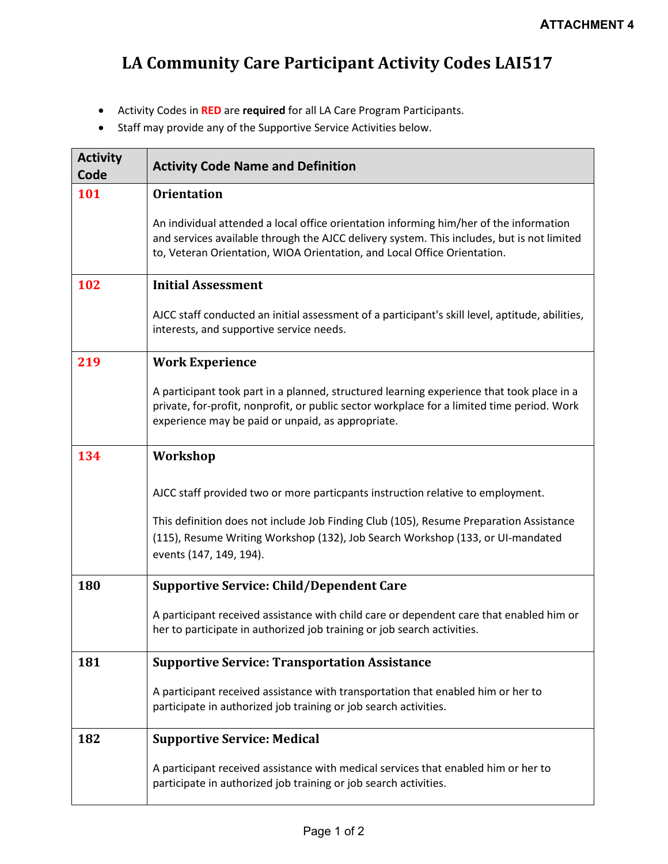## **LA Community Care Participant Activity Codes LAI517**

- Activity Codes in **RED** are **required** for all LA Care Program Participants.
- Staff may provide any of the Supportive Service Activities below.

| <b>Activity</b><br>Code | <b>Activity Code Name and Definition</b>                                                                                                                                                                                                                         |
|-------------------------|------------------------------------------------------------------------------------------------------------------------------------------------------------------------------------------------------------------------------------------------------------------|
| 101                     | <b>Orientation</b>                                                                                                                                                                                                                                               |
|                         | An individual attended a local office orientation informing him/her of the information<br>and services available through the AJCC delivery system. This includes, but is not limited<br>to, Veteran Orientation, WIOA Orientation, and Local Office Orientation. |
| 102                     | <b>Initial Assessment</b>                                                                                                                                                                                                                                        |
|                         | AJCC staff conducted an initial assessment of a participant's skill level, aptitude, abilities,<br>interests, and supportive service needs.                                                                                                                      |
| 219                     | <b>Work Experience</b>                                                                                                                                                                                                                                           |
|                         | A participant took part in a planned, structured learning experience that took place in a<br>private, for-profit, nonprofit, or public sector workplace for a limited time period. Work<br>experience may be paid or unpaid, as appropriate.                     |
| 134                     | Workshop                                                                                                                                                                                                                                                         |
|                         | AJCC staff provided two or more particpants instruction relative to employment.                                                                                                                                                                                  |
|                         | This definition does not include Job Finding Club (105), Resume Preparation Assistance<br>(115), Resume Writing Workshop (132), Job Search Workshop (133, or UI-mandated<br>events (147, 149, 194).                                                              |
| 180                     | <b>Supportive Service: Child/Dependent Care</b>                                                                                                                                                                                                                  |
|                         | A participant received assistance with child care or dependent care that enabled him or<br>her to participate in authorized job training or job search activities.                                                                                               |
| 181                     | <b>Supportive Service: Transportation Assistance</b>                                                                                                                                                                                                             |
|                         | A participant received assistance with transportation that enabled him or her to<br>participate in authorized job training or job search activities.                                                                                                             |
| 182                     | <b>Supportive Service: Medical</b>                                                                                                                                                                                                                               |
|                         | A participant received assistance with medical services that enabled him or her to<br>participate in authorized job training or job search activities.                                                                                                           |